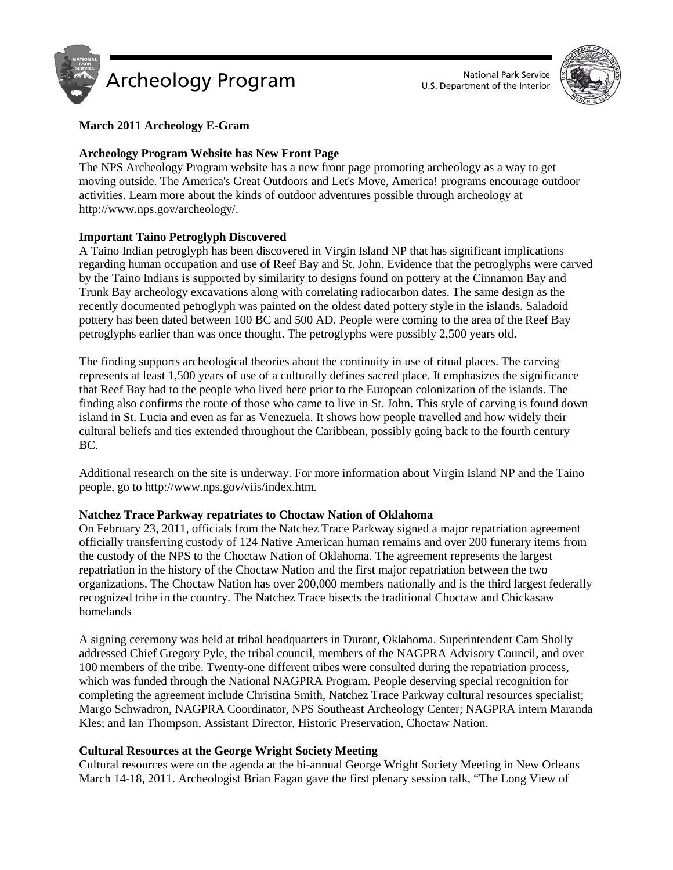



# **March 2011 Archeology E-Gram**

# **Archeology Program Website has New Front Page**

The NPS Archeology Program website has a new front page promoting archeology as a way to get moving outside. The America's Great Outdoors and Let's Move, America! programs encourage outdoor activities. Learn more about the kinds of outdoor adventures possible through archeology at http://www.nps.gov/archeology/.

# **Important Taino Petroglyph Discovered**

A Taino Indian petroglyph has been discovered in Virgin Island NP that has significant implications regarding human occupation and use of Reef Bay and St. John. Evidence that the petroglyphs were carved by the Taino Indians is supported by similarity to designs found on pottery at the Cinnamon Bay and Trunk Bay archeology excavations along with correlating radiocarbon dates. The same design as the recently documented petroglyph was painted on the oldest dated pottery style in the islands. Saladoid pottery has been dated between 100 BC and 500 AD. People were coming to the area of the Reef Bay petroglyphs earlier than was once thought. The petroglyphs were possibly 2,500 years old.

The finding supports archeological theories about the continuity in use of ritual places. The carving represents at least 1,500 years of use of a culturally defines sacred place. It emphasizes the significance that Reef Bay had to the people who lived here prior to the European colonization of the islands. The finding also confirms the route of those who came to live in St. John. This style of carving is found down island in St. Lucia and even as far as Venezuela. It shows how people travelled and how widely their cultural beliefs and ties extended throughout the Caribbean, possibly going back to the fourth century BC.

Additional research on the site is underway. For more information about Virgin Island NP and the Taino people, go to http://www.nps.gov/viis/index.htm.

## **Natchez Trace Parkway repatriates to Choctaw Nation of Oklahoma**

On February 23, 2011, officials from the Natchez Trace Parkway signed a major repatriation agreement officially transferring custody of 124 Native American human remains and over 200 funerary items from the custody of the NPS to the Choctaw Nation of Oklahoma. The agreement represents the largest repatriation in the history of the Choctaw Nation and the first major repatriation between the two organizations. The Choctaw Nation has over 200,000 members nationally and is the third largest federally recognized tribe in the country. The Natchez Trace bisects the traditional Choctaw and Chickasaw homelands

A signing ceremony was held at tribal headquarters in Durant, Oklahoma. Superintendent Cam Sholly addressed Chief Gregory Pyle, the tribal council, members of the NAGPRA Advisory Council, and over 100 members of the tribe. Twenty-one different tribes were consulted during the repatriation process, which was funded through the National NAGPRA Program. People deserving special recognition for completing the agreement include Christina Smith, Natchez Trace Parkway cultural resources specialist; Margo Schwadron, NAGPRA Coordinator, NPS Southeast Archeology Center; NAGPRA intern Maranda Kles; and Ian Thompson, Assistant Director, Historic Preservation, Choctaw Nation.

## **Cultural Resources at the George Wright Society Meeting**

Cultural resources were on the agenda at the bi-annual George Wright Society Meeting in New Orleans March 14-18, 2011. Archeologist Brian Fagan gave the first plenary session talk, "The Long View of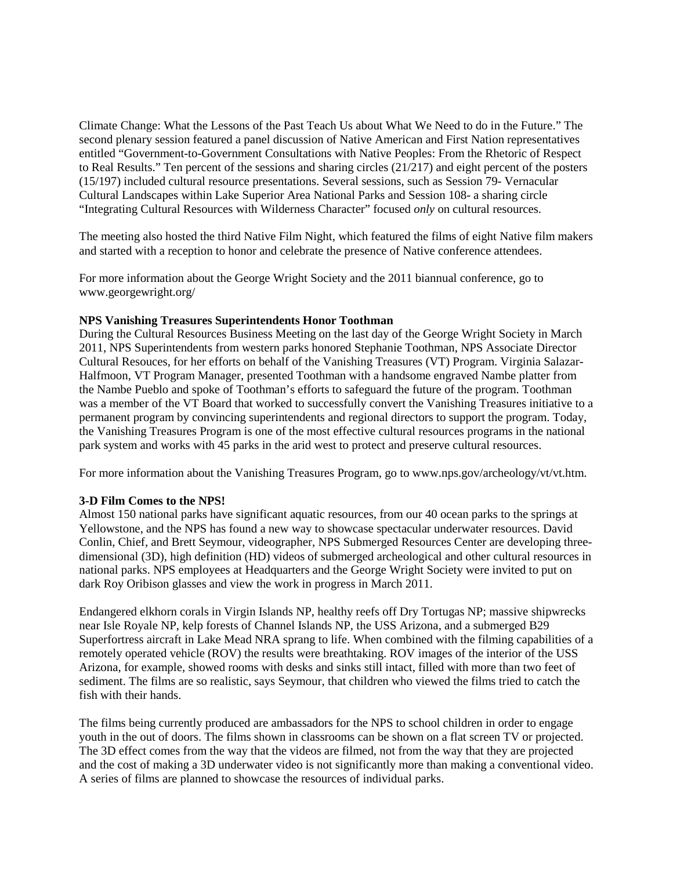Climate Change: What the Lessons of the Past Teach Us about What We Need to do in the Future." The second plenary session featured a panel discussion of Native American and First Nation representatives entitled "Government-to-Government Consultations with Native Peoples: From the Rhetoric of Respect to Real Results." Ten percent of the sessions and sharing circles (21/217) and eight percent of the posters (15/197) included cultural resource presentations. Several sessions, such as Session 79- Vernacular Cultural Landscapes within Lake Superior Area National Parks and Session 108- a sharing circle "Integrating Cultural Resources with Wilderness Character" focused *only* on cultural resources.

The meeting also hosted the third Native Film Night, which featured the films of eight Native film makers and started with a reception to honor and celebrate the presence of Native conference attendees.

For more information about the George Wright Society and the 2011 biannual conference, go to www.georgewright.org/

### **NPS Vanishing Treasures Superintendents Honor Toothman**

During the Cultural Resources Business Meeting on the last day of the George Wright Society in March 2011, NPS Superintendents from western parks honored Stephanie Toothman, NPS Associate Director Cultural Resouces, for her efforts on behalf of the Vanishing Treasures (VT) Program. Virginia Salazar-Halfmoon, VT Program Manager, presented Toothman with a handsome engraved Nambe platter from the Nambe Pueblo and spoke of Toothman's efforts to safeguard the future of the program. Toothman was a member of the VT Board that worked to successfully convert the Vanishing Treasures initiative to a permanent program by convincing superintendents and regional directors to support the program. Today, the Vanishing Treasures Program is one of the most effective cultural resources programs in the national park system and works with 45 parks in the arid west to protect and preserve cultural resources.

For more information about the Vanishing Treasures Program, go to www.nps.gov/archeology/vt/vt.htm.

## **3-D Film Comes to the NPS!**

Almost 150 national parks have significant aquatic resources, from our 40 ocean parks to the springs at Yellowstone, and the NPS has found a new way to showcase spectacular underwater resources. David Conlin, Chief, and Brett Seymour, videographer, NPS Submerged Resources Center are developing threedimensional (3D), high definition (HD) videos of submerged archeological and other cultural resources in national parks. NPS employees at Headquarters and the George Wright Society were invited to put on dark Roy Oribison glasses and view the work in progress in March 2011.

Endangered elkhorn corals in Virgin Islands NP, healthy reefs off Dry Tortugas NP; massive shipwrecks near Isle Royale NP, kelp forests of Channel Islands NP, the USS Arizona, and a submerged B29 Superfortress aircraft in Lake Mead NRA sprang to life. When combined with the filming capabilities of a remotely operated vehicle (ROV) the results were breathtaking. ROV images of the interior of the USS Arizona, for example, showed rooms with desks and sinks still intact, filled with more than two feet of sediment. The films are so realistic, says Seymour, that children who viewed the films tried to catch the fish with their hands.

The films being currently produced are ambassadors for the NPS to school children in order to engage youth in the out of doors. The films shown in classrooms can be shown on a flat screen TV or projected. The 3D effect comes from the way that the videos are filmed, not from the way that they are projected and the cost of making a 3D underwater video is not significantly more than making a conventional video. A series of films are planned to showcase the resources of individual parks.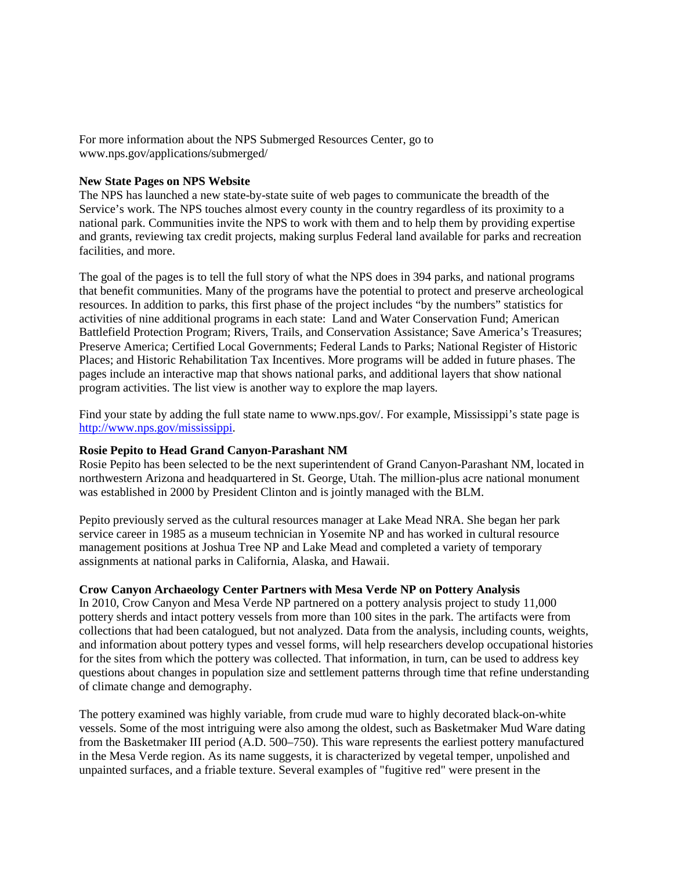For more information about the NPS Submerged Resources Center, go to www.nps.gov/applications/submerged/

## **New State Pages on NPS Website**

The NPS has launched a new state-by-state suite of web pages to communicate the breadth of the Service's work. The NPS touches almost every county in the country regardless of its proximity to a national park. Communities invite the NPS to work with them and to help them by providing expertise and grants, reviewing tax credit projects, making surplus Federal land available for parks and recreation facilities, and more.

The goal of the pages is to tell the full story of what the NPS does in 394 parks, and national programs that benefit communities. Many of the programs have the potential to protect and preserve archeological resources. In addition to parks, this first phase of the project includes "by the numbers" statistics for activities of nine additional programs in each state: Land and Water Conservation Fund; American Battlefield Protection Program; Rivers, Trails, and Conservation Assistance; Save America's Treasures; Preserve America; Certified Local Governments; Federal Lands to Parks; National Register of Historic Places; and Historic Rehabilitation Tax Incentives. More programs will be added in future phases. The pages include an interactive map that shows national parks, and additional layers that show national program activities. The list view is another way to explore the map layers.

Find your state by adding the full state name to www.nps.gov/. For example, Mississippi's state page is [http://www.nps.gov/mississippi.](http://www.nps.gov/mississippi)

### **Rosie Pepito to Head Grand Canyon-Parashant NM**

Rosie Pepito has been selected to be the next superintendent of Grand Canyon-Parashant NM, located in northwestern Arizona and headquartered in St. George, Utah. The million-plus acre national monument was established in 2000 by President Clinton and is jointly managed with the BLM.

Pepito previously served as the cultural resources manager at Lake Mead NRA. She began her park service career in 1985 as a museum technician in Yosemite NP and has worked in cultural resource management positions at Joshua Tree NP and Lake Mead and completed a variety of temporary assignments at national parks in California, Alaska, and Hawaii.

## **Crow Canyon Archaeology Center Partners with Mesa Verde NP on Pottery Analysis**

In 2010, Crow Canyon and Mesa Verde NP partnered on a pottery analysis project to study 11,000 pottery sherds and intact pottery vessels from more than 100 sites in the park. The artifacts were from collections that had been catalogued, but not analyzed. Data from the analysis, including counts, weights, and information about pottery types and vessel forms, will help researchers develop occupational histories for the sites from which the pottery was collected. That information, in turn, can be used to address key questions about changes in population size and settlement patterns through time that refine understanding of climate change and demography.

The pottery examined was highly variable, from crude mud ware to highly decorated black-on-white vessels. Some of the most intriguing were also among the oldest, such as Basketmaker Mud Ware dating from the Basketmaker III period (A.D. 500–750). This ware represents the earliest pottery manufactured in the Mesa Verde region. As its name suggests, it is characterized by vegetal temper, unpolished and unpainted surfaces, and a friable texture. Several examples of "fugitive red" were present in the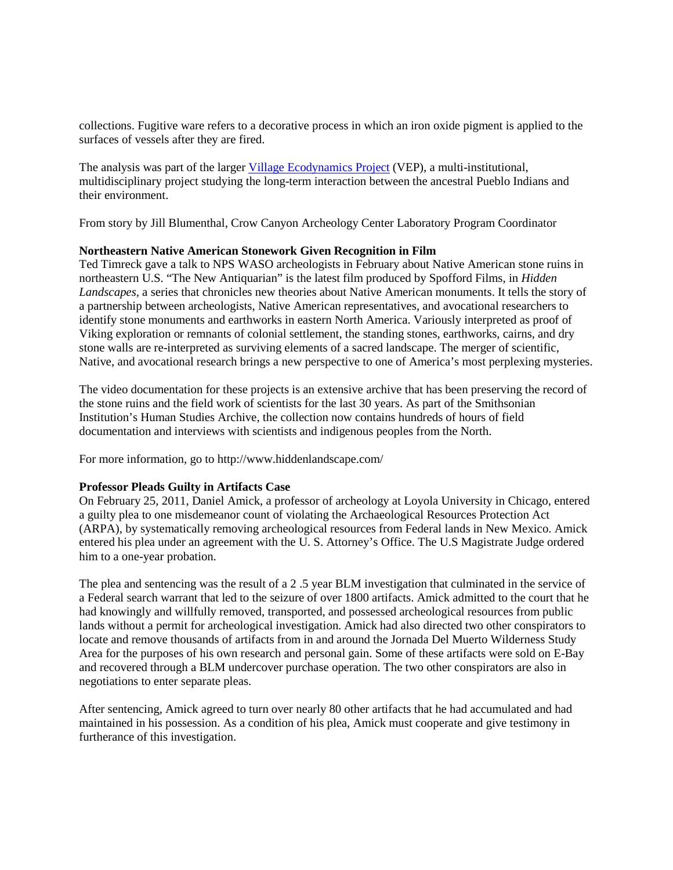collections. Fugitive ware refers to a decorative process in which an iron oxide pigment is applied to the surfaces of vessels after they are fired.

The analysis was part of the larger [Village Ecodynamics Project](http://www.imakenews.com/eletra/gow.cfm?z=crowcanyon1%2C494111%2C0%2C3270658%2Cb11) (VEP), a multi-institutional, multidisciplinary project studying the long-term interaction between the ancestral Pueblo Indians and their environment.

From story by Jill Blumenthal, Crow Canyon Archeology Center Laboratory Program Coordinator

## **Northeastern Native American Stonework Given Recognition in Film**

Ted Timreck gave a talk to NPS WASO archeologists in February about Native American stone ruins in northeastern U.S. "The New Antiquarian" is the latest film produced by Spofford Films, in *Hidden Landscapes,* a series that chronicles new theories about Native American monuments. It tells the story of a partnership between archeologists, Native American representatives, and avocational researchers to identify stone monuments and earthworks in eastern North America. Variously interpreted as proof of Viking exploration or remnants of colonial settlement, the standing stones, earthworks, cairns, and dry stone walls are re-interpreted as surviving elements of a sacred landscape. The merger of scientific, Native, and avocational research brings a new perspective to one of America's most perplexing mysteries.

The video documentation for these projects is an extensive archive that has been preserving the record of the stone ruins and the field work of scientists for the last 30 years. As part of the Smithsonian Institution's Human Studies Archive, the collection now contains hundreds of hours of field documentation and interviews with scientists and indigenous peoples from the North.

For more information, go to http://www.hiddenlandscape.com/

## **Professor Pleads Guilty in Artifacts Case**

On February 25, 2011, Daniel Amick, a professor of archeology at Loyola University in Chicago, entered a guilty plea to one misdemeanor count of violating the Archaeological Resources Protection Act (ARPA), by systematically removing archeological resources from Federal lands in New Mexico. Amick entered his plea under an agreement with the U. S. Attorney's Office. The U.S Magistrate Judge ordered him to a one-year probation.

The plea and sentencing was the result of a 2 .5 year BLM investigation that culminated in the service of a Federal search warrant that led to the seizure of over 1800 artifacts. Amick admitted to the court that he had knowingly and willfully removed, transported, and possessed archeological resources from public lands without a permit for archeological investigation. Amick had also directed two other conspirators to locate and remove thousands of artifacts from in and around the Jornada Del Muerto Wilderness Study Area for the purposes of his own research and personal gain. Some of these artifacts were sold on E-Bay and recovered through a BLM undercover purchase operation. The two other conspirators are also in negotiations to enter separate pleas.

After sentencing, Amick agreed to turn over nearly 80 other artifacts that he had accumulated and had maintained in his possession. As a condition of his plea, Amick must cooperate and give testimony in furtherance of this investigation.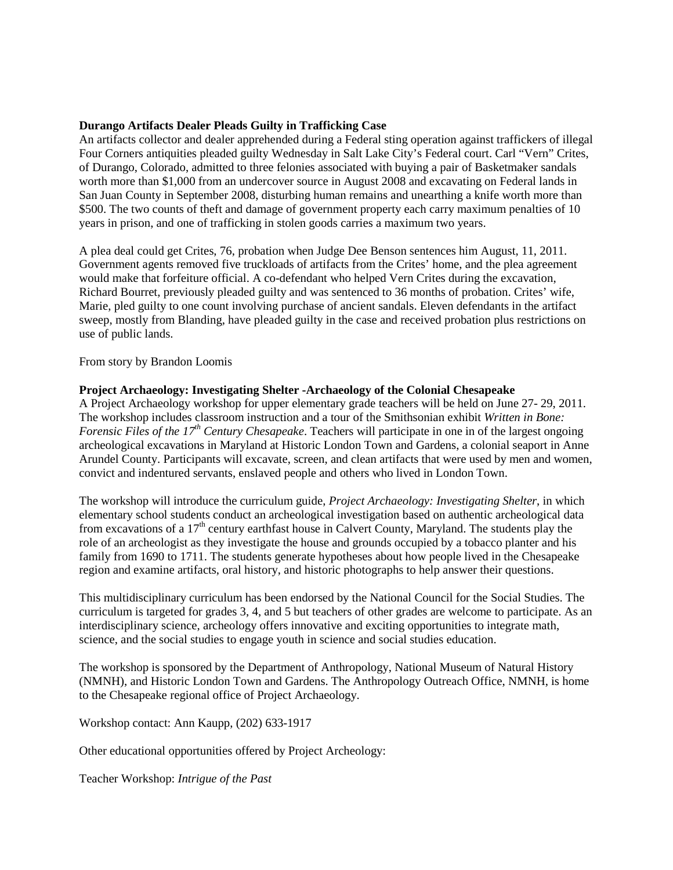## **Durango Artifacts Dealer Pleads Guilty in Trafficking Case**

An artifacts collector and dealer apprehended during a Federal sting operation against traffickers of illegal Four Corners antiquities pleaded guilty Wednesday in Salt Lake City's Federal court. Carl "Vern" Crites, of Durango, Colorado, admitted to three felonies associated with buying a pair of Basketmaker sandals worth more than \$1,000 from an undercover source in August 2008 and excavating on Federal lands in San Juan County in September 2008, disturbing human remains and unearthing a knife worth more than \$500. The two counts of theft and damage of government property each carry maximum penalties of 10 years in prison, and one of trafficking in stolen goods carries a maximum two years.

A plea deal could get Crites, 76, probation when Judge Dee Benson sentences him August, 11, 2011. Government agents removed five truckloads of artifacts from the Crites' home, and the plea agreement would make that forfeiture official. A co-defendant who helped Vern Crites during the excavation, Richard Bourret, previously pleaded guilty and was sentenced to 36 months of probation. Crites' wife, Marie, pled guilty to one count involving purchase of ancient sandals. Eleven defendants in the artifact sweep, mostly from Blanding, have pleaded guilty in the case and received probation plus restrictions on use of public lands.

From story by Brandon Loomis

## **Project Archaeology: Investigating Shelter -Archaeology of the Colonial Chesapeake**

A Project Archaeology workshop for upper elementary grade teachers will be held on June 27- 29, 2011. The workshop includes classroom instruction and a tour of the Smithsonian exhibit *Written in Bone: Forensic Files of the 17<sup>th</sup> Century Chesapeake.* Teachers will participate in one in of the largest ongoing archeological excavations in Maryland at Historic London Town and Gardens, a colonial seaport in Anne Arundel County. Participants will excavate, screen, and clean artifacts that were used by men and women, convict and indentured servants, enslaved people and others who lived in London Town.

The workshop will introduce the curriculum guide, *Project Archaeology: Investigating Shelter*, in which elementary school students conduct an archeological investigation based on authentic archeological data from excavations of a  $17<sup>th</sup>$  century earthfast house in Calvert County, Maryland. The students play the role of an archeologist as they investigate the house and grounds occupied by a tobacco planter and his family from 1690 to 1711. The students generate hypotheses about how people lived in the Chesapeake region and examine artifacts, oral history, and historic photographs to help answer their questions.

This multidisciplinary curriculum has been endorsed by the National Council for the Social Studies. The curriculum is targeted for grades 3, 4, and 5 but teachers of other grades are welcome to participate. As an interdisciplinary science, archeology offers innovative and exciting opportunities to integrate math, science, and the social studies to engage youth in science and social studies education.

The workshop is sponsored by the Department of Anthropology, National Museum of Natural History (NMNH), and Historic London Town and Gardens. The Anthropology Outreach Office, NMNH, is home to the Chesapeake regional office of Project Archaeology.

Workshop contact: Ann Kaupp, (202) 633-1917

Other educational opportunities offered by Project Archeology:

Teacher Workshop: *Intrigue of the Past*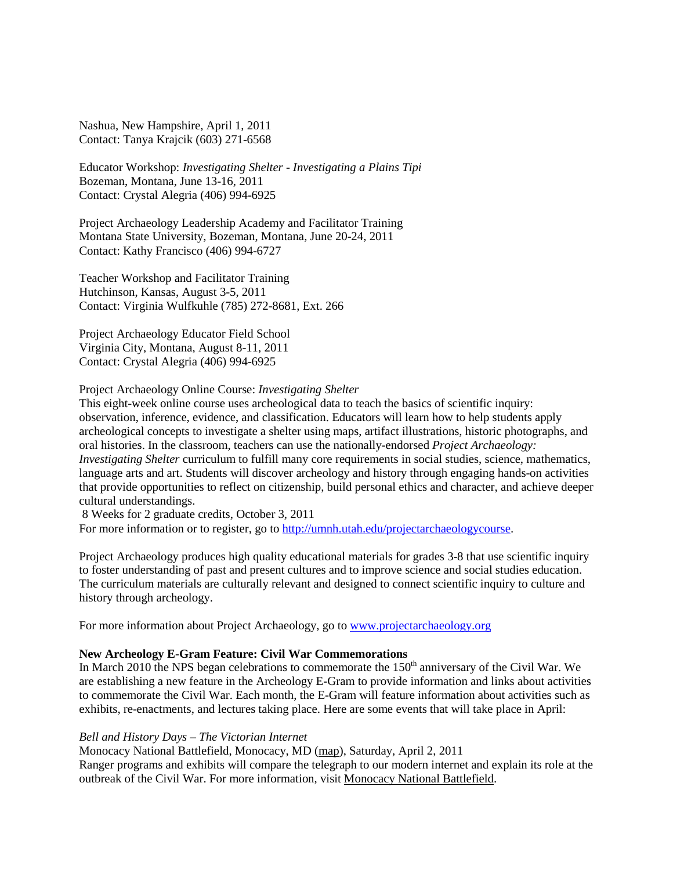Nashua, New Hampshire, April 1, 2011 Contact: Tanya Krajcik (603) 271-6568

Educator Workshop: *Investigating Shelter - Investigating a Plains Tipi* Bozeman, Montana, June 13-16, 2011 Contact: Crystal Alegria (406) 994-6925

Project Archaeology Leadership Academy and Facilitator Training Montana State University, Bozeman, Montana, June 20-24, 2011 Contact: Kathy Francisco (406) 994-6727

Teacher Workshop and Facilitator Training Hutchinson, Kansas, August 3-5, 2011 Contact: Virginia Wulfkuhle (785) 272-8681, Ext. 266

Project Archaeology Educator Field School Virginia City, Montana, August 8-11, 2011 Contact: Crystal Alegria (406) 994-6925

### Project Archaeology Online Course: *Investigating Shelter*

This eight-week online course uses archeological data to teach the basics of scientific inquiry: observation, inference, evidence, and classification. Educators will learn how to help students apply archeological concepts to investigate a shelter using maps, artifact illustrations, historic photographs, and oral histories. In the classroom, teachers can use the nationally-endorsed *Project Archaeology: Investigating Shelter* curriculum to fulfill many core requirements in social studies, science, mathematics, language arts and art. Students will discover archeology and history through engaging hands-on activities that provide opportunities to reflect on citizenship, build personal ethics and character, and achieve deeper cultural understandings.

8 Weeks for 2 graduate credits, October 3, 2011

For more information or to register, go to [http://umnh.utah.edu/projectarchaeologycourse.](http://umnh.utah.edu/projectarchaeologycourse)

Project Archaeology produces high quality educational materials for grades 3-8 that use scientific inquiry to foster understanding of past and present cultures and to improve science and social studies education. The curriculum materials are culturally relevant and designed to connect scientific inquiry to culture and history through archeology.

For more information about Project Archaeology, go to [www.projectarchaeology.org](http://www.projectarchaeology.org/)

# **New Archeology E-Gram Feature: Civil War Commemorations**

In March 2010 the NPS began celebrations to commemorate the  $150<sup>th</sup>$  anniversary of the Civil War. We are establishing a new feature in the Archeology E-Gram to provide information and links about activities to commemorate the Civil War. Each month, the E-Gram will feature information about activities such as exhibits, re-enactments, and lectures taking place. Here are some events that will take place in April:

### *Bell and History Days – The Victorian Internet*

Monocacy National Battlefield, Monocacy, MD [\(map\)](http://maps.google.com/maps?hl=en&q=4801%20Urbana%20Pike%20Frederick%2C%20MD%2021703), Saturday, April 2, 2011 Ranger programs and exhibits will compare the telegraph to our modern internet and explain its role at the outbreak of the Civil War. For more information, visit [Monocacy National Battlefield.](http://www.nps.gov/mono/index.htm)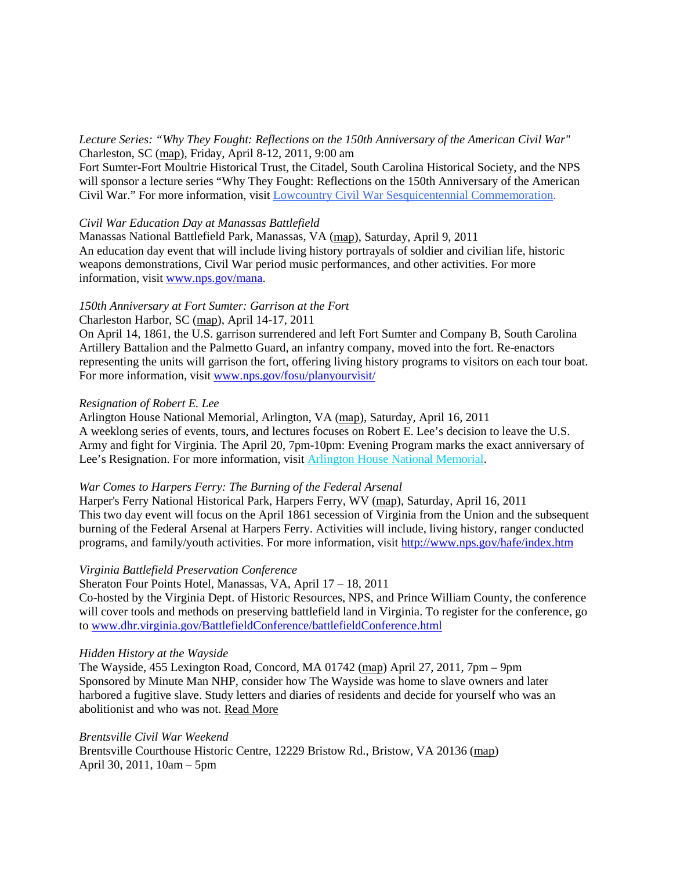*Lecture Series: "Why They Fought: Reflections on the 150th Anniversary of the American Civil War"* Charleston, SC [\(map\)](http://maps.google.com/maps?hl=en&q=Charleston%2C%20SC), Friday, April 8-12, 2011, 9:00 am

Fort Sumter-Fort Moultrie Historical Trust, the Citadel, South Carolina Historical Society, and the NPS will sponsor a lecture series "Why They Fought: Reflections on the 150th Anniversary of the American Civil War." For more information, visit [Lowcountry Civil War Sesquicentennial Commemoration.](http://www.sccivilwar.org/)

### *Civil War Education Day at Manassas Battlefield*

Manassas National Battlefield Park, Manassas, VA [\(map\)](http://maps.google.com/maps?hl=en&q=Manassas%20National%20Battlefield%20Park%2C%20Manassas%2C%20VA), Saturday, April 9, 2011 An education day event that will include living history portrayals of soldier and civilian life, historic weapons demonstrations, Civil War period music performances, and other activities. For more information, visit [www.nps.gov/mana.](http://www.nps.gov/mana)

### *150th Anniversary at Fort Sumter: Garrison at the Fort*

Charleston Harbor, SC [\(map\)](http://maps.google.com/maps?hl=en&q=Charleston%20Harbor), April 14-17, 2011

On April 14, 1861, the U.S. garrison surrendered and left Fort Sumter and Company B, South Carolina Artillery Battalion and the Palmetto Guard, an infantry company, moved into the fort. Re-enactors representing the units will garrison the fort, offering living history programs to visitors on each tour boat. For more information, visit [www.nps.gov/fosu/planyourvisit/](http://www.nps.gov/fosu/planyourvisit/)

#### *Resignation of Robert E. Lee*

Arlington House National Memorial, Arlington, VA [\(map\)](http://maps.google.com/maps?hl=en&q=Arlington%20House%20National%20Memorial%2C%20Arlington%2C%20VA), Saturday, April 16, 2011 A weeklong series of events, tours, and lectures focuses on Robert E. Lee's decision to leave the U.S. Army and fight for Virginia. The April 20, 7pm-10pm: Evening Program marks the exact anniversary of Lee's Resignation. For more information, visi[t Arlington House National Memorial.](http://www.nps.gov/arho/index.htm)

#### *War Comes to Harpers Ferry: The Burning of the Federal Arsenal*

Harper's Ferry National Historical Park, Harpers Ferry, WV [\(map\)](http://maps.google.com/maps?hl=en&q=Harper), Saturday, April 16, 2011 This two day event will focus on the April 1861 secession of Virginia from the Union and the subsequent burning of the Federal Arsenal at Harpers Ferry. Activities will include, living history, ranger conducted programs, and family/youth activities. For more information, visit<http://www.nps.gov/hafe/index.htm>

#### *Virginia Battlefield Preservation Conference*

Sheraton Four Points Hotel, Manassas, VA, April 17 – 18, 2011

Co-hosted by the Virginia Dept. of Historic Resources, NPS, and Prince William County, the conference will cover tools and methods on preserving battlefield land in Virginia. To register for the conference, go to [www.dhr.virginia.gov/BattlefieldConference/battlefieldConference.html](http://www.dhr.virginia.gov/BattlefieldConference/battlefieldConference.html)

#### *Hidden History at the Wayside*

The Wayside, 455 Lexington Road, Concord, MA 01742 [\(map\)](http://maps.google.com/maps?hl=en&q=455%20Lexington%20Road%2C%20Concord%2C%20MA%2001742) April 27, 2011, 7pm – 9pm Sponsored by Minute Man NHP, consider how The Wayside was home to slave owners and later harbored a fugitive slave. Study letters and diaries of residents and decide for yourself who was an abolitionist and who was not. [Read](http://www.nps.gov/mima/civil-war-150th-events.htm) More

### *Brentsville Civil War Weekend*

Brentsville Courthouse Historic Centre, 12229 Bristow Rd., Bristow, VA 20136 [\(map\)](http://maps.google.com/maps?hl=en&q=Brentsville%20Courthouse%20Historic%20Centre%2C%2012229%20Bristow%20Rd.%2C%20Bristow%2C%20VA%2020136) April 30, 2011, 10am – 5pm